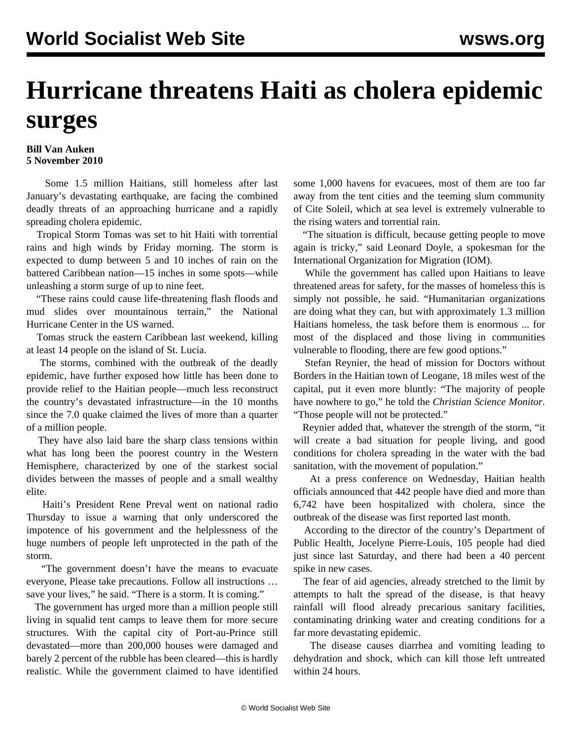## **Hurricane threatens Haiti as cholera epidemic surges**

## **Bill Van Auken 5 November 2010**

 Some 1.5 million Haitians, still homeless after last January's devastating earthquake, are facing the combined deadly threats of an approaching hurricane and a rapidly spreading cholera epidemic.

 Tropical Storm Tomas was set to hit Haiti with torrential rains and high winds by Friday morning. The storm is expected to dump between 5 and 10 inches of rain on the battered Caribbean nation—15 inches in some spots—while unleashing a storm surge of up to nine feet.

 "These rains could cause life-threatening flash floods and mud slides over mountainous terrain," the National Hurricane Center in the US warned.

 Tomas struck the eastern Caribbean last weekend, killing at least 14 people on the island of St. Lucia.

 The storms, combined with the outbreak of the deadly epidemic, have further exposed how little has been done to provide relief to the Haitian people—much less reconstruct the country's devastated infrastructure—in the 10 months since the 7.0 quake claimed the lives of more than a quarter of a million people.

 They have also laid bare the sharp class tensions within what has long been the poorest country in the Western Hemisphere, characterized by one of the starkest social divides between the masses of people and a small wealthy elite.

 Haiti's President Rene Preval went on national radio Thursday to issue a warning that only underscored the impotence of his government and the helplessness of the huge numbers of people left unprotected in the path of the storm.

 "The government doesn't have the means to evacuate everyone, Please take precautions. Follow all instructions … save your lives," he said. "There is a storm. It is coming."

 The government has urged more than a million people still living in squalid tent camps to leave them for more secure structures. With the capital city of Port-au-Prince still devastated—more than 200,000 houses were damaged and barely 2 percent of the rubble has been cleared—this is hardly realistic. While the government claimed to have identified some 1,000 havens for evacuees, most of them are too far away from the tent cities and the teeming slum community of Cite Soleil, which at sea level is extremely vulnerable to the rising waters and torrential rain.

 "The situation is difficult, because getting people to move again is tricky," said Leonard Doyle, a spokesman for the International Organization for Migration (IOM).

 While the government has called upon Haitians to leave threatened areas for safety, for the masses of homeless this is simply not possible, he said. "Humanitarian organizations are doing what they can, but with approximately 1.3 million Haitians homeless, the task before them is enormous ... for most of the displaced and those living in communities vulnerable to flooding, there are few good options."

 Stefan Reynier, the head of mission for Doctors without Borders in the Haitian town of Leogane, 18 miles west of the capital, put it even more bluntly: "The majority of people have nowhere to go," he told the *Christian Science Monitor*. "Those people will not be protected."

 Reynier added that, whatever the strength of the storm, "it will create a bad situation for people living, and good conditions for cholera spreading in the water with the bad sanitation, with the movement of population."

 At a press conference on Wednesday, Haitian health officials announced that 442 people have died and more than 6,742 have been hospitalized with cholera, since the outbreak of the disease was first reported last month.

 According to the director of the country's Department of Public Health, Jocelyne Pierre-Louis, 105 people had died just since last Saturday, and there had been a 40 percent spike in new cases.

 The fear of aid agencies, already stretched to the limit by attempts to halt the spread of the disease, is that heavy rainfall will flood already precarious sanitary facilities, contaminating drinking water and creating conditions for a far more devastating epidemic.

 The disease causes diarrhea and vomiting leading to dehydration and shock, which can kill those left untreated within 24 hours.